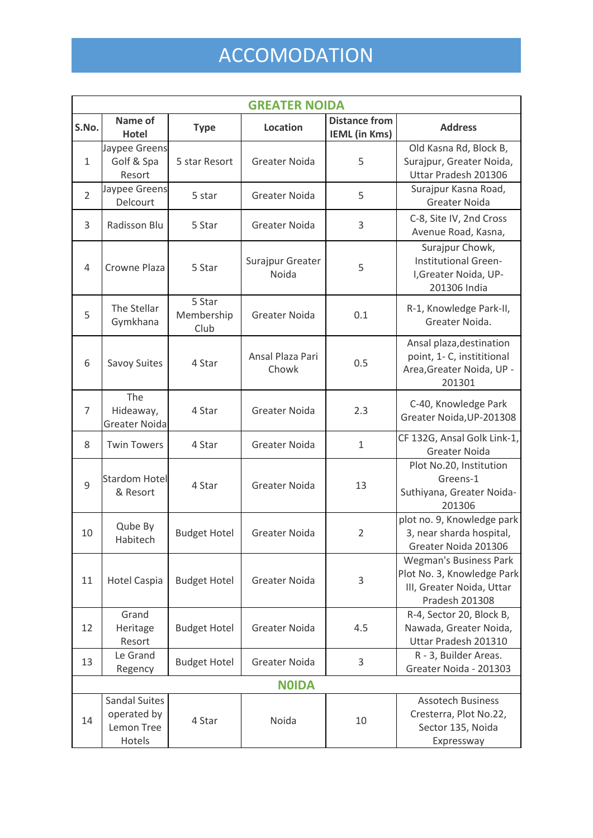## ACCOMODATION

| <b>GREATER NOIDA</b> |                                                             |                              |                           |                                              |                                                                                                            |  |  |
|----------------------|-------------------------------------------------------------|------------------------------|---------------------------|----------------------------------------------|------------------------------------------------------------------------------------------------------------|--|--|
| S.No.                | Name of<br><b>Hotel</b>                                     | <b>Type</b>                  | <b>Location</b>           | <b>Distance from</b><br><b>IEML</b> (in Kms) | <b>Address</b>                                                                                             |  |  |
| $\mathbf{1}$         | Jaypee Greens<br>Golf & Spa<br>Resort                       | 5 star Resort                | <b>Greater Noida</b>      | 5                                            | Old Kasna Rd, Block B,<br>Surajpur, Greater Noida,<br>Uttar Pradesh 201306                                 |  |  |
| $\overline{2}$       | Jaypee Greens<br>Delcourt                                   | 5 star                       | Greater Noida             | 5                                            | Surajpur Kasna Road,<br><b>Greater Noida</b>                                                               |  |  |
| 3                    | Radisson Blu                                                | 5 Star                       | <b>Greater Noida</b>      | 3                                            | C-8, Site IV, 2nd Cross<br>Avenue Road, Kasna,                                                             |  |  |
| 4                    | Crowne Plaza                                                | 5 Star                       | Surajpur Greater<br>Noida | 5                                            | Surajpur Chowk,<br><b>Institutional Green-</b><br>I, Greater Noida, UP-<br>201306 India                    |  |  |
| 5                    | The Stellar<br>Gymkhana                                     | 5 Star<br>Membership<br>Club | <b>Greater Noida</b>      | 0.1                                          | R-1, Knowledge Park-II,<br>Greater Noida.                                                                  |  |  |
| 6                    | Savoy Suites                                                | 4 Star                       | Ansal Plaza Pari<br>Chowk | 0.5                                          | Ansal plaza, destination<br>point, 1- C, instititional<br>Area, Greater Noida, UP -<br>201301              |  |  |
| $\overline{7}$       | The<br>Hideaway,<br>Greater Noida                           | 4 Star                       | <b>Greater Noida</b>      | 2.3                                          | C-40, Knowledge Park<br>Greater Noida, UP-201308                                                           |  |  |
| 8                    | <b>Twin Towers</b>                                          | 4 Star                       | <b>Greater Noida</b>      | $\mathbf{1}$                                 | CF 132G, Ansal Golk Link-1,<br><b>Greater Noida</b>                                                        |  |  |
| 9                    | <b>Stardom Hotel</b><br>& Resort                            | 4 Star                       | <b>Greater Noida</b>      | 13                                           | Plot No.20, Institution<br>Greens-1<br>Suthiyana, Greater Noida-<br>201306                                 |  |  |
| 10                   | Qube By<br>Habitech                                         | <b>Budget Hotel</b>          | <b>Greater Noida</b>      | $\overline{2}$                               | plot no. 9, Knowledge park<br>3, near sharda hospital,<br>Greater Noida 201306                             |  |  |
| 11                   | <b>Hotel Caspia</b>                                         | <b>Budget Hotel</b>          | <b>Greater Noida</b>      | 3                                            | <b>Wegman's Business Park</b><br>Plot No. 3, Knowledge Park<br>III, Greater Noida, Uttar<br>Pradesh 201308 |  |  |
| 12                   | Grand<br>Heritage<br>Resort                                 | <b>Budget Hotel</b>          | <b>Greater Noida</b>      | 4.5                                          | R-4, Sector 20, Block B,<br>Nawada, Greater Noida,<br>Uttar Pradesh 201310                                 |  |  |
| 13                   | Le Grand<br>Regency                                         | <b>Budget Hotel</b>          | <b>Greater Noida</b>      | 3                                            | R - 3, Builder Areas.<br>Greater Noida - 201303                                                            |  |  |
| <b>NOIDA</b>         |                                                             |                              |                           |                                              |                                                                                                            |  |  |
| 14                   | <b>Sandal Suites</b><br>operated by<br>Lemon Tree<br>Hotels | 4 Star                       | Noida                     | 10                                           | <b>Assotech Business</b><br>Cresterra, Plot No.22,<br>Sector 135, Noida<br>Expressway                      |  |  |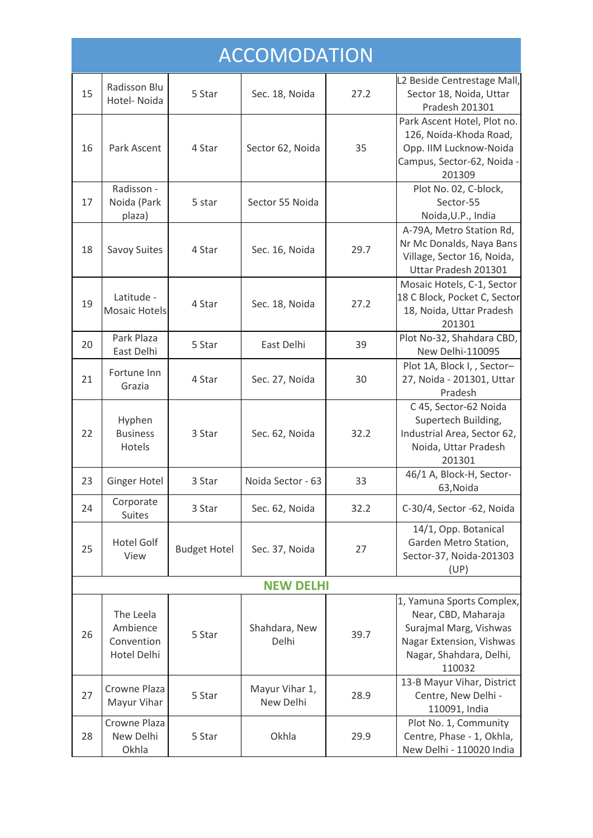| <b>ACCOMODATION</b> |                                                    |                     |                             |      |                                                                                                                                             |  |  |  |
|---------------------|----------------------------------------------------|---------------------|-----------------------------|------|---------------------------------------------------------------------------------------------------------------------------------------------|--|--|--|
| 15                  | Radisson Blu<br>Hotel- Noida                       | 5 Star              | Sec. 18, Noida              | 27.2 | L2 Beside Centrestage Mall,<br>Sector 18, Noida, Uttar<br>Pradesh 201301                                                                    |  |  |  |
| 16                  | Park Ascent                                        | 4 Star              | Sector 62, Noida            | 35   | Park Ascent Hotel, Plot no.<br>126, Noida-Khoda Road,<br>Opp. IIM Lucknow-Noida<br>Campus, Sector-62, Noida -<br>201309                     |  |  |  |
| 17                  | Radisson -<br>Noida (Park<br>plaza)                | 5 star              | Sector 55 Noida             |      | Plot No. 02, C-block,<br>Sector-55<br>Noida, U.P., India                                                                                    |  |  |  |
| 18                  | Savoy Suites                                       | 4 Star              | Sec. 16, Noida              | 29.7 | A-79A, Metro Station Rd,<br>Nr Mc Donalds, Naya Bans<br>Village, Sector 16, Noida,<br>Uttar Pradesh 201301                                  |  |  |  |
| 19                  | Latitude -<br><b>Mosaic Hotels</b>                 | 4 Star              | Sec. 18, Noida              | 27.2 | Mosaic Hotels, C-1, Sector<br>18 C Block, Pocket C, Sector<br>18, Noida, Uttar Pradesh<br>201301                                            |  |  |  |
| 20                  | Park Plaza<br>East Delhi                           | 5 Star              | East Delhi                  | 39   | Plot No-32, Shahdara CBD,<br>New Delhi-110095                                                                                               |  |  |  |
| 21                  | Fortune Inn<br>Grazia                              | 4 Star              | Sec. 27, Noida              | 30   | Plot 1A, Block I, , Sector-<br>27, Noida - 201301, Uttar<br>Pradesh                                                                         |  |  |  |
| 22                  | Hyphen<br><b>Business</b><br>Hotels                | 3 Star              | Sec. 62, Noida              | 32.2 | C 45, Sector-62 Noida<br>Supertech Building,<br>Industrial Area, Sector 62,<br>Noida, Uttar Pradesh<br>201301                               |  |  |  |
| 23                  | <b>Ginger Hotel</b>                                | 3 Star              | Noida Sector - 63           | 33   | 46/1 A, Block-H, Sector-<br>63, Noida                                                                                                       |  |  |  |
| 24                  | Corporate<br><b>Suites</b>                         | 3 Star              | Sec. 62, Noida              | 32.2 | C-30/4, Sector -62, Noida                                                                                                                   |  |  |  |
| 25                  | <b>Hotel Golf</b><br>View                          | <b>Budget Hotel</b> | Sec. 37, Noida              | 27   | 14/1, Opp. Botanical<br>Garden Metro Station,<br>Sector-37, Noida-201303<br>(UP)                                                            |  |  |  |
|                     |                                                    |                     | <b>NEW DELHI</b>            |      |                                                                                                                                             |  |  |  |
| 26                  | The Leela<br>Ambience<br>Convention<br>Hotel Delhi | 5 Star              | Shahdara, New<br>Delhi      | 39.7 | 1, Yamuna Sports Complex,<br>Near, CBD, Maharaja<br>Surajmal Marg, Vishwas<br>Nagar Extension, Vishwas<br>Nagar, Shahdara, Delhi,<br>110032 |  |  |  |
| 27                  | Crowne Plaza<br>Mayur Vihar                        | 5 Star              | Mayur Vihar 1,<br>New Delhi | 28.9 | 13-B Mayur Vihar, District<br>Centre, New Delhi -<br>110091, India                                                                          |  |  |  |
| 28                  | Crowne Plaza<br>New Delhi<br>Okhla                 | 5 Star              | Okhla                       | 29.9 | Plot No. 1, Community<br>Centre, Phase - 1, Okhla,<br>New Delhi - 110020 India                                                              |  |  |  |